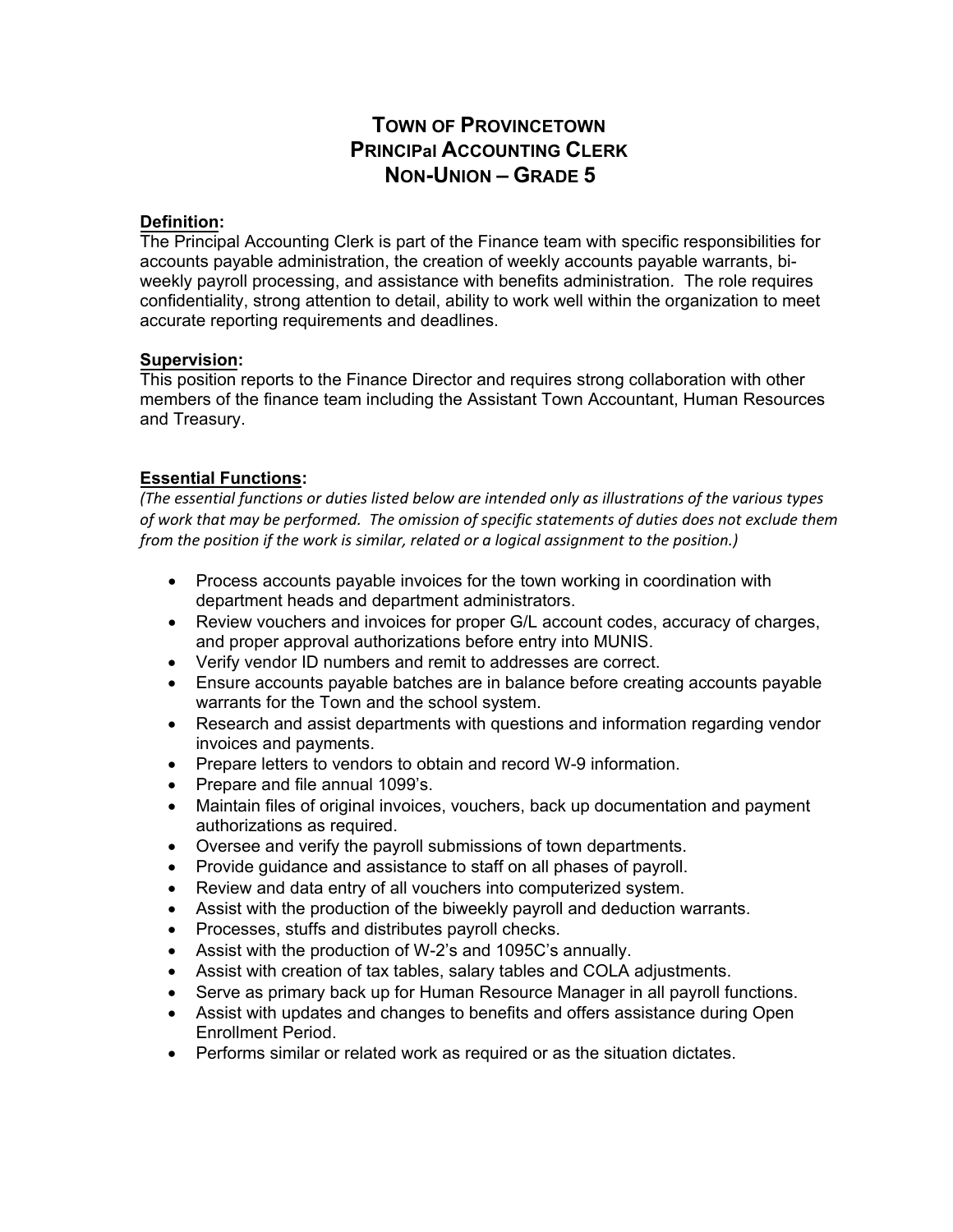# **TOWN OF PROVINCETOWN PRINCIPal ACCOUNTING CLERK NON-UNION – GRADE 5**

## **Definition:**

The Principal Accounting Clerk is part of the Finance team with specific responsibilities for accounts payable administration, the creation of weekly accounts payable warrants, biweekly payroll processing, and assistance with benefits administration. The role requires confidentiality, strong attention to detail, ability to work well within the organization to meet accurate reporting requirements and deadlines.

### **Supervision:**

This position reports to the Finance Director and requires strong collaboration with other members of the finance team including the Assistant Town Accountant, Human Resources and Treasury.

## **Essential Functions:**

*(The essential functions or duties listed below are intended only as illustrations of the various types of work that may be performed. The omission of specific statements of duties does not exclude them from the position if the work is similar, related or a logical assignment to the position.)*

- Process accounts payable invoices for the town working in coordination with department heads and department administrators.
- Review vouchers and invoices for proper G/L account codes, accuracy of charges, and proper approval authorizations before entry into MUNIS.
- Verify vendor ID numbers and remit to addresses are correct.
- Ensure accounts payable batches are in balance before creating accounts payable warrants for the Town and the school system.
- Research and assist departments with questions and information regarding vendor invoices and payments.
- Prepare letters to vendors to obtain and record W-9 information.
- Prepare and file annual 1099's.
- Maintain files of original invoices, vouchers, back up documentation and payment authorizations as required.
- Oversee and verify the payroll submissions of town departments.
- Provide guidance and assistance to staff on all phases of payroll.
- Review and data entry of all vouchers into computerized system.
- Assist with the production of the biweekly payroll and deduction warrants.
- Processes, stuffs and distributes payroll checks.
- Assist with the production of W-2's and 1095C's annually.
- Assist with creation of tax tables, salary tables and COLA adjustments.
- Serve as primary back up for Human Resource Manager in all payroll functions.
- Assist with updates and changes to benefits and offers assistance during Open Enrollment Period.
- Performs similar or related work as required or as the situation dictates.